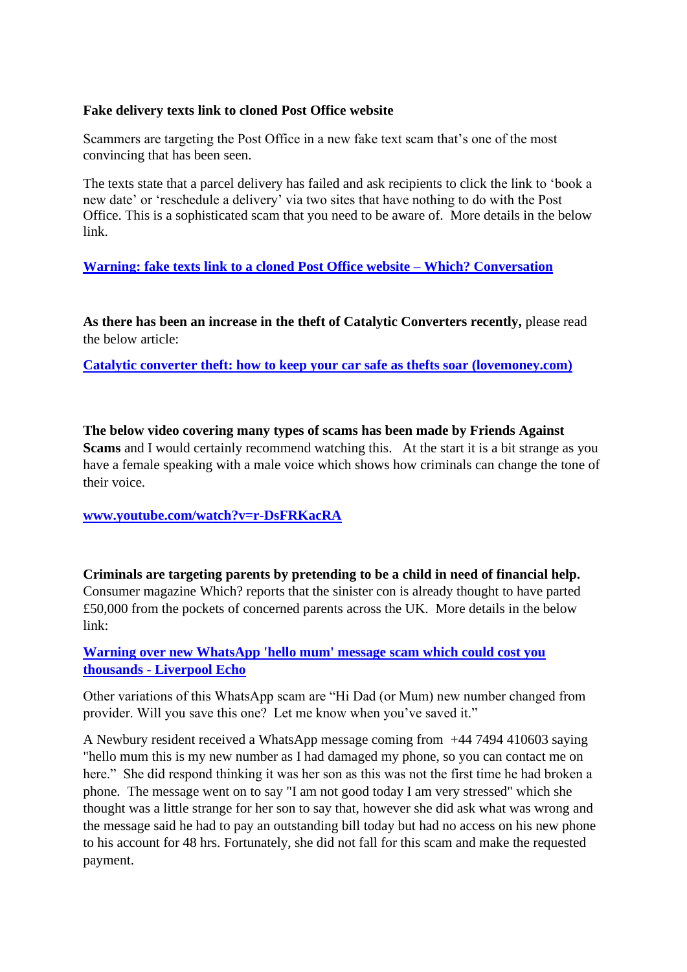#### **Fake delivery texts link to cloned Post Office website**

Scammers are targeting the Post Office in a new fake text scam that's one of the most convincing that has been seen.

The texts state that a parcel delivery has failed and ask recipients to click the link to 'book a new date' or 'reschedule a delivery' via two sites that have nothing to do with the Post Office. This is a sophisticated scam that you need to be aware of. More details in the below link.

# **[Warning: fake texts link to a cloned Post Office website –](https://conversation.which.co.uk/scams/post-office-fake-delivery-text-message-scam-website/?utm_medium=email&utm_source=engagingnetworks&utm_campaign=ScamAlert200122&utm_content=Scam+alert+200122) Which? Conversation**

**As there has been an increase in the theft of Catalytic Converters recently,** please read the below article:

**[Catalytic converter theft: how to keep your car safe as thefts soar \(lovemoney.com\)](https://www.lovemoney.com/news/110619/catalytic-converters-the-valuable-part-of-your-car-that-thieves-are-target?utm_source=sendgrid&utm_medium=email&utm_term=article3headline)**

**The below video covering many types of scams has been made by Friends Against Scams** and I would certainly recommend watching this. At the start it is a bit strange as you have a female speaking with a male voice which shows how criminals can change the tone of their voice.

#### **[www.youtube.com/watch?v=r-DsFRKacRA](http://www.youtube.com/watch?v=r-DsFRKacRA)**

**Criminals are targeting parents by pretending to be a child in need of financial help.** Consumer magazine Which? reports that the sinister con is already thought to have parted £50,000 from the pockets of concerned parents across the UK. More details in the below link:

## **[Warning over new WhatsApp 'hello mum' message scam which could cost you](https://www.liverpoolecho.co.uk/news/uk-world-news/warning-over-new-whatsapp-hello-22586773?mc_cid=7fd307ad5f&mc_eid=2c097d1406)  thousands - [Liverpool Echo](https://www.liverpoolecho.co.uk/news/uk-world-news/warning-over-new-whatsapp-hello-22586773?mc_cid=7fd307ad5f&mc_eid=2c097d1406)**

Other variations of this WhatsApp scam are "Hi Dad (or Mum) new number changed from provider. Will you save this one? Let me know when you've saved it."

A Newbury resident received a WhatsApp message coming from +44 7494 410603 saying "hello mum this is my new number as I had damaged my phone, so you can contact me on here." She did respond thinking it was her son as this was not the first time he had broken a phone. The message went on to say "I am not good today I am very stressed" which she thought was a little strange for her son to say that, however she did ask what was wrong and the message said he had to pay an outstanding bill today but had no access on his new phone to his account for 48 hrs. Fortunately, she did not fall for this scam and make the requested payment.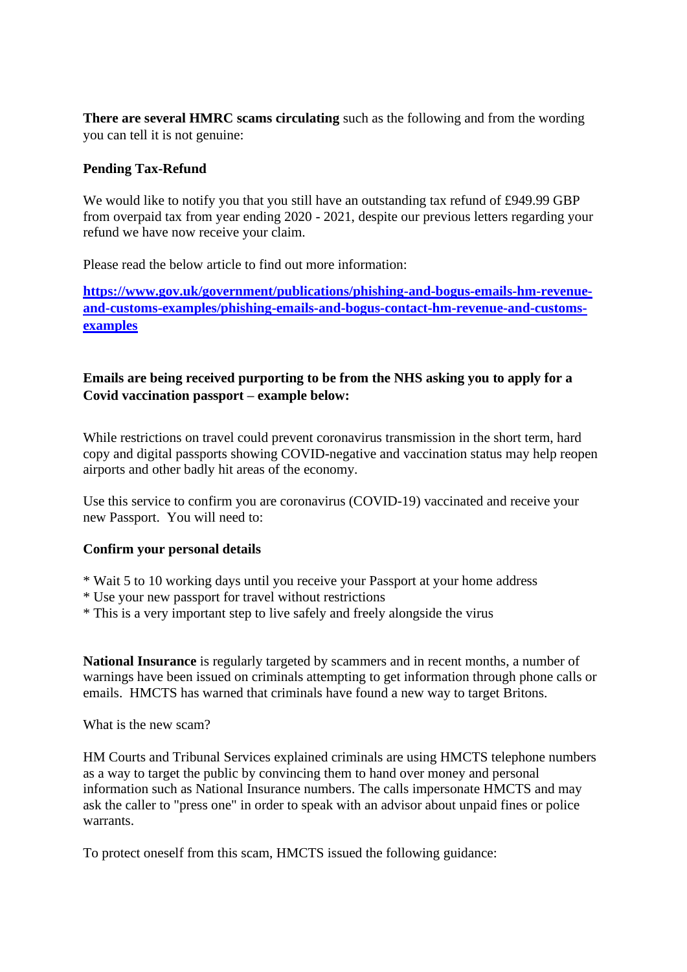**There are several HMRC scams circulating** such as the following and from the wording you can tell it is not genuine:

## **Pending Tax-Refund**

We would like to notify you that you still have an outstanding tax refund of £949.99 GBP from overpaid tax from year ending 2020 - 2021, despite our previous letters regarding your refund we have now receive your claim.

Please read the below article to find out more information:

**[https://www.gov.uk/government/publications/phishing-and-bogus-emails-hm-revenue](https://www.gov.uk/government/publications/phishing-and-bogus-emails-hm-revenue-and-customs-examples/phishing-emails-and-bogus-contact-hm-revenue-and-customs-examples)[and-customs-examples/phishing-emails-and-bogus-contact-hm-revenue-and-customs](https://www.gov.uk/government/publications/phishing-and-bogus-emails-hm-revenue-and-customs-examples/phishing-emails-and-bogus-contact-hm-revenue-and-customs-examples)[examples](https://www.gov.uk/government/publications/phishing-and-bogus-emails-hm-revenue-and-customs-examples/phishing-emails-and-bogus-contact-hm-revenue-and-customs-examples)**

# **Emails are being received purporting to be from the NHS asking you to apply for a Covid vaccination passport – example below:**

While restrictions on travel could prevent coronavirus transmission in the short term, hard copy and digital passports showing COVID-negative and vaccination status may help reopen airports and other badly hit areas of the economy.

Use this service to confirm you are coronavirus (COVID-19) vaccinated and receive your new Passport. You will need to:

## **Confirm your personal details**

- \* Wait 5 to 10 working days until you receive your Passport at your home address
- \* Use your new passport for travel without restrictions
- \* This is a very important step to live safely and freely alongside the virus

**[National Insurance](https://www.express.co.uk/latest/national-insurance)** is regularly targeted by scammers and in recent months, a number of warnings have been issued on criminals attempting to get information through phone calls or emails. HMCTS has warned that criminals have found a new way to target Britons.

What is the new scam?

HM Courts and Tribunal Services explained criminals are using HMCTS telephone numbers as a way to target the public by convincing them to hand over money and personal information such as National Insurance numbers. The calls impersonate HMCTS and may ask the caller to "press one" in order to speak with an advisor about unpaid fines or police warrants.

To protect oneself from this scam, HMCTS issued the following guidance: